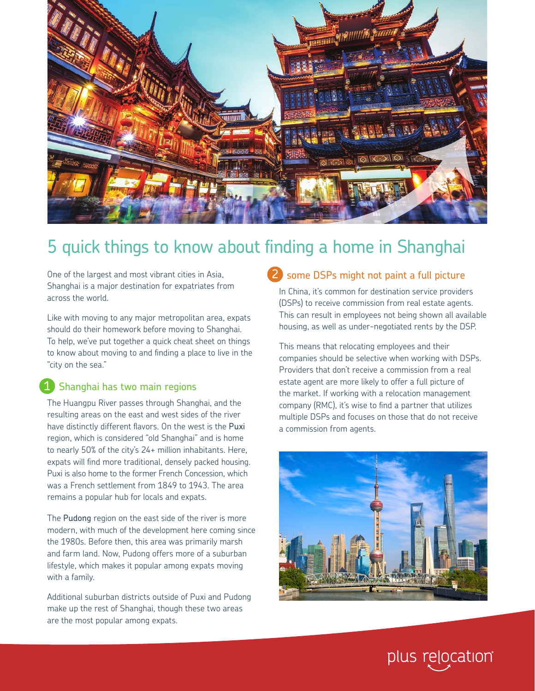

# 5 quick things to know about finding a home in Shanghai

One of the largest and most vibrant cities in Asia, Shanghai is a major destination for expatriates from across the world.

Like with moving to any major metropolitan area, expats should do their homework before moving to Shanghai. To help, we've put together a quick cheat sheet on things to know about moving to and finding a place to live in the "city on the sea."

#### 1 Shanghai has two main regions

The Huangpu River passes through Shanghai, and the resulting areas on the east and west sides of the river have distinctly different flavors. On the west is the Puxi region, which is considered "old Shanghai" and is home to nearly 50% of the city's 24+ million inhabitants. Here, expats will find more traditional, densely packed housing. Puxi is also home to the former French Concession, which was a French settlement from 1849 to 1943. The area remains a popular hub for locals and expats.

The Pudong region on the east side of the river is more modern, with much of the development here coming since the 1980s. Before then, this area was primarily marsh and farm land. Now, Pudong offers more of a suburban lifestyle, which makes it popular among expats moving with a family.

Additional suburban districts outside of Puxi and Pudong make up the rest of Shanghai, though these two areas are the most popular among expats.

### 2 some DSPs might not paint a full picture

In China, it's common for destination service providers (DSPs) to receive commission from real estate agents. This can result in employees not being shown all available housing, as well as under-negotiated rents by the DSP.

This means that relocating employees and their companies should be selective when working with DSPs. Providers that don't receive a commission from a real estate agent are more likely to offer a full picture of the market. If working with a relocation management company (RMC), it's wise to find a partner that utilizes multiple DSPs and focuses on those that do not receive a commission from agents.